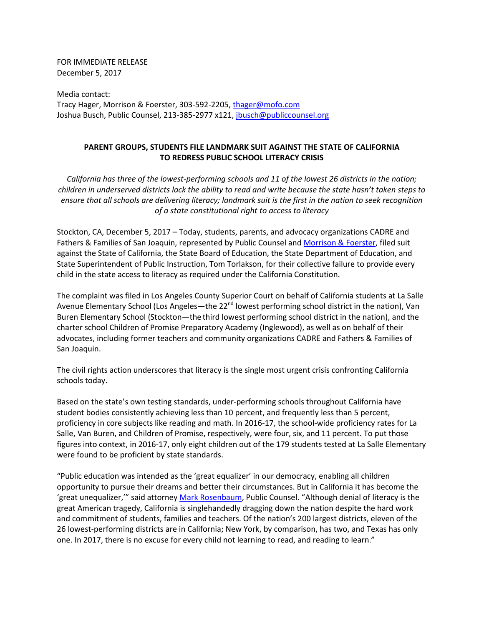FOR IMMEDIATE RELEASE December 5, 2017

Media contact: Tracy Hager, Morrison & Foerster, 303-592-2205, thager@mofo.com Joshua Busch, Public Counsel, 213-385-2977 x121, jbusch@publiccounsel.org

## **PARENT GROUPS, STUDENTS FILE LANDMARK SUIT AGAINST THE STATE OF CALIFORNIA TO REDRESS PUBLIC SCHOOL LITERACY CRISIS**

*California has three of the lowest-performing schools and 11 of the lowest 26 districts in the nation; children in underserved districts lack the ability to read and write because the state hasn't taken steps to ensure that all schools are delivering literacy; landmark suit is the first in the nation to seek recognition of a state constitutional right to access to literacy* 

Stockton, CA, December 5, 2017 – Today, students, parents, and advocacy organizations CADRE and Fathers & Families of San Joaquin, represented by Public Counsel and Morrison & Foerster, filed suit against the State of California, the State Board of Education, the State Department of Education, and State Superintendent of Public Instruction, Tom Torlakson, for their collective failure to provide every child in the state access to literacy as required under the California Constitution.

The complaint was filed in Los Angeles County Superior Court on behalf of California students at La Salle Avenue Elementary School (Los Angeles—the 22<sup>nd</sup> lowest performing school district in the nation), Van Buren Elementary School (Stockton—the third lowest performing school district in the nation), and the charter school Children of Promise Preparatory Academy (Inglewood), as well as on behalf of their advocates, including former teachers and community organizations CADRE and Fathers & Families of San Joaquin.

The civil rights action underscores that literacy is the single most urgent crisis confronting California schools today.

Based on the state's own testing standards, under-performing schools throughout California have student bodies consistently achieving less than 10 percent, and frequently less than 5 percent, proficiency in core subjects like reading and math. In 2016-17, the school-wide proficiency rates for La Salle, Van Buren, and Children of Promise, respectively, were four, six, and 11 percent. To put those figures into context, in 2016-17, only eight children out of the 179 students tested at La Salle Elementary were found to be proficient by state standards.

"Public education was intended as the 'great equalizer' in our democracy, enabling all children opportunity to pursue their dreams and better their circumstances. But in California it has become the 'great unequalizer,'" said attorney Mark Rosenbaum, Public Counsel. "Although denial of literacy is the great American tragedy, California is singlehandedly dragging down the nation despite the hard work and commitment of students, families and teachers. Of the nation's 200 largest districts, eleven of the 26 lowest-performing districts are in California; New York, by comparison, has two, and Texas has only one. In 2017, there is no excuse for every child not learning to read, and reading to learn."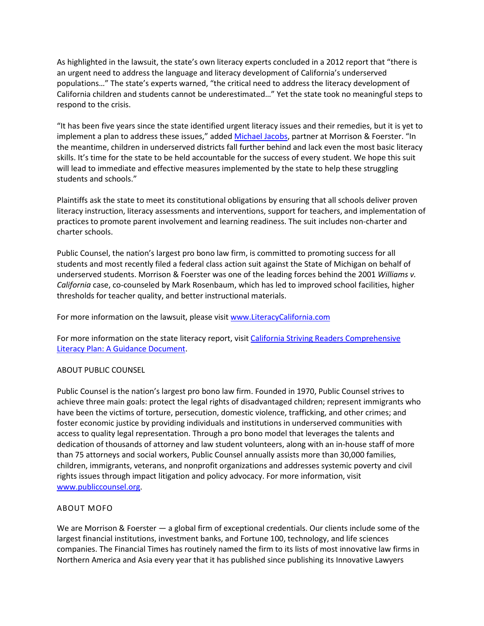As highlighted in the lawsuit, the state's own literacy experts concluded in a 2012 report that "there is an urgent need to address the language and literacy development of California's underserved populations…" The state's experts warned, "the critical need to address the literacy development of California children and students cannot be underestimated…" Yet the state took no meaningful steps to respond to the crisis.

"It has been five years since the state identified urgent literacy issues and their remedies, but it is yet to implement a plan to address these issues," added Michael Jacobs, partner at Morrison & Foerster. "In the meantime, children in underserved districts fall further behind and lack even the most basic literacy skills. It's time for the state to be held accountable for the success of every student. We hope this suit will lead to immediate and effective measures implemented by the state to help these struggling students and schools."

Plaintiffs ask the state to meet its constitutional obligations by ensuring that all schools deliver proven literacy instruction, literacy assessments and interventions, support for teachers, and implementation of practices to promote parent involvement and learning readiness. The suit includes non-charter and charter schools.

Public Counsel, the nation's largest pro bono law firm, is committed to promoting success for all students and most recently filed a federal class action suit against the State of Michigan on behalf of underserved students. Morrison & Foerster was one of the leading forces behind the 2001 *Williams v. California* case, co-counseled by Mark Rosenbaum, which has led to improved school facilities, higher thresholds for teacher quality, and better instructional materials.

For more information on the lawsuit, please visit www.LiteracyCalifornia.com

For more information on the state literacy report, visit California Striving Readers Comprehensive Literacy Plan: A Guidance Document.

## ABOUT PUBLIC COUNSEL

Public Counsel is the nation's largest pro bono law firm. Founded in 1970, Public Counsel strives to achieve three main goals: protect the legal rights of disadvantaged children; represent immigrants who have been the victims of torture, persecution, domestic violence, trafficking, and other crimes; and foster economic justice by providing individuals and institutions in underserved communities with access to quality legal representation. Through a pro bono model that leverages the talents and dedication of thousands of attorney and law student volunteers, along with an in-house staff of more than 75 attorneys and social workers, Public Counsel annually assists more than 30,000 families, children, immigrants, veterans, and nonprofit organizations and addresses systemic poverty and civil rights issues through impact litigation and policy advocacy. For more information, visit www.publiccounsel.org.

## ABOUT MOFO

We are Morrison & Foerster — a global firm of exceptional credentials. Our clients include some of the largest financial institutions, investment banks, and Fortune 100, technology, and life sciences companies. The Financial Times has routinely named the firm to its lists of most innovative law firms in Northern America and Asia every year that it has published since publishing its Innovative Lawyers